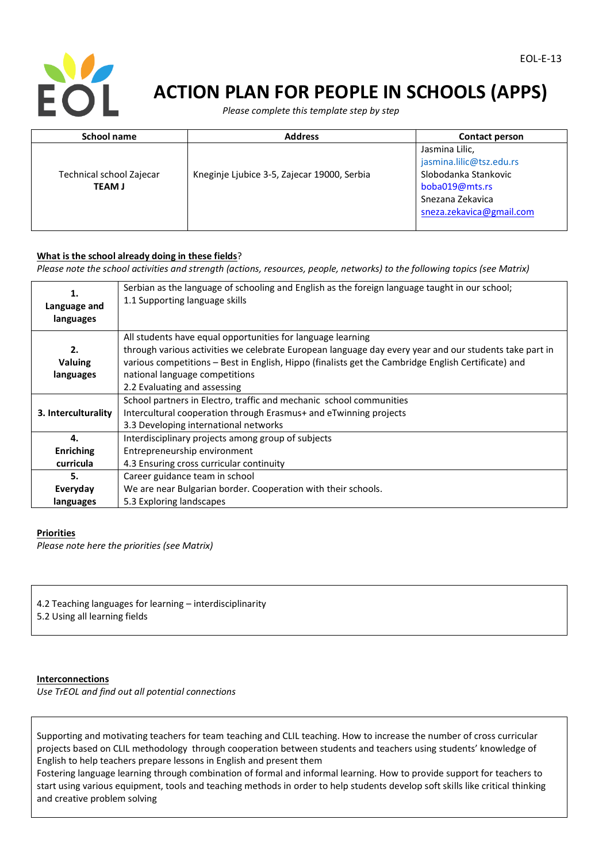

# **ACTION PLAN FOR PEOPLE IN SCHOOLS (APPS)**

 *Please complete this template step by step*

| <b>School name</b>                        | <b>Address</b>                              | Contact person                                                                                                                       |
|-------------------------------------------|---------------------------------------------|--------------------------------------------------------------------------------------------------------------------------------------|
| Technical school Zajecar<br><b>TEAM J</b> | Kneginje Ljubice 3-5, Zajecar 19000, Serbia | Jasmina Lilic,<br>jasmina.lilic@tsz.edu.rs<br>Slobodanka Stankovic<br>boba019@mts.rs<br>Snezana Zekavica<br>sneza.zekavica@gmail.com |

#### **What is the school already doing in these fields**?

*Please note the school activities and strength (actions, resources, people, networks) to the following topics (see Matrix)*

| 1.<br>Language and<br>languages | Serbian as the language of schooling and English as the foreign language taught in our school;<br>1.1 Supporting language skills |  |
|---------------------------------|----------------------------------------------------------------------------------------------------------------------------------|--|
|                                 | All students have equal opportunities for language learning                                                                      |  |
| 2.                              | through various activities we celebrate European language day every year and our students take part in                           |  |
| <b>Valuing</b>                  | various competitions - Best in English, Hippo (finalists get the Cambridge English Certificate) and                              |  |
| languages                       | national language competitions                                                                                                   |  |
|                                 | 2.2 Evaluating and assessing                                                                                                     |  |
|                                 | School partners in Electro, traffic and mechanic school communities                                                              |  |
| 3. Interculturality             | Intercultural cooperation through Erasmus+ and eTwinning projects                                                                |  |
|                                 | 3.3 Developing international networks                                                                                            |  |
| 4.                              | Interdisciplinary projects among group of subjects                                                                               |  |
| <b>Enriching</b>                | Entrepreneurship environment                                                                                                     |  |
| curricula                       | 4.3 Ensuring cross curricular continuity                                                                                         |  |
| 5.                              | Career guidance team in school                                                                                                   |  |
| Everyday                        | We are near Bulgarian border. Cooperation with their schools.                                                                    |  |
| languages                       | 5.3 Exploring landscapes                                                                                                         |  |

## **Priorities**

*Please note here the priorities (see Matrix)*

4.2 Teaching languages for learning – interdisciplinarity 5.2 Using all learning fields

#### **Interconnections**

*Use TrEOL and find out all potential connections*

Supporting and motivating teachers for team teaching and CLIL teaching. How to increase the number of cross curricular projects based on CLIL methodology through cooperation between students and teachers using students' knowledge of English to help teachers prepare lessons in English and present them

Fostering language learning through combination of formal and informal learning. How to provide support for teachers to start using various equipment, tools and teaching methods in order to help students develop soft skills like critical thinking and creative problem solving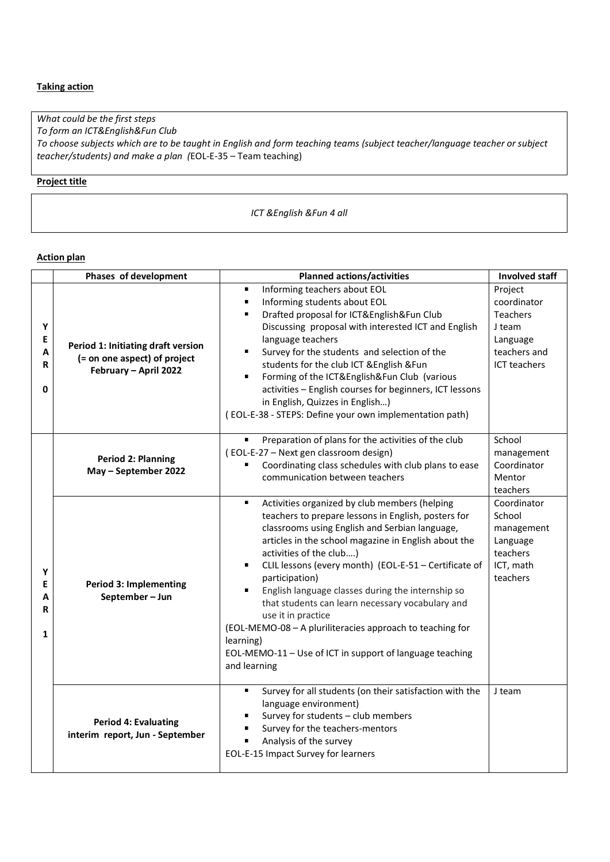# **Taking action**

*What could be the first steps To form an ICT&English&Fun Club To choose subjects which are to be taught in English and form teaching teams (subject teacher/language teacher or subject teacher/students) and make a plan (*EOL-E-35 – Team teaching)

# **Project title**

*ICT &English &Fun 4 all*

#### **Action plan**

|                                  | Phases of development                                                                       | <b>Planned actions/activities</b>                                                                                                                                                                                                                                                                                                                                                                                                                                                                                                                                                                              | <b>Involved staff</b>                                                                                  |
|----------------------------------|---------------------------------------------------------------------------------------------|----------------------------------------------------------------------------------------------------------------------------------------------------------------------------------------------------------------------------------------------------------------------------------------------------------------------------------------------------------------------------------------------------------------------------------------------------------------------------------------------------------------------------------------------------------------------------------------------------------------|--------------------------------------------------------------------------------------------------------|
| Υ<br>E<br>Α<br>R<br>0            | Period 1: Initiating draft version<br>(= on one aspect) of project<br>February - April 2022 | Informing teachers about EOL<br>٠<br>Informing students about EOL<br>Drafted proposal for ICT&English&Fun Club<br>Discussing proposal with interested ICT and English<br>language teachers<br>Survey for the students and selection of the<br>g,<br>students for the club ICT & English & Fun<br>Forming of the ICT&English&Fun Club (various<br>٠<br>activities - English courses for beginners, ICT lessons<br>in English, Quizzes in English)<br>(EOL-E-38 - STEPS: Define your own implementation path)                                                                                                    | Project<br>coordinator<br><b>Teachers</b><br>J team<br>Language<br>teachers and<br><b>ICT</b> teachers |
| Υ<br>E<br>A<br>R<br>$\mathbf{1}$ | <b>Period 2: Planning</b><br>May - September 2022                                           | Preparation of plans for the activities of the club<br>(EOL-E-27 - Next gen classroom design)<br>Coordinating class schedules with club plans to ease<br>communication between teachers                                                                                                                                                                                                                                                                                                                                                                                                                        | School<br>management<br>Coordinator<br>Mentor<br>teachers                                              |
|                                  | <b>Period 3: Implementing</b><br>September-Jun                                              | Activities organized by club members (helping<br>teachers to prepare lessons in English, posters for<br>classrooms using English and Serbian language,<br>articles in the school magazine in English about the<br>activities of the club)<br>CLIL lessons (every month) (EOL-E-51 - Certificate of<br>٠<br>participation)<br>English language classes during the internship so<br>that students can learn necessary vocabulary and<br>use it in practice<br>(EOL-MEMO-08 - A pluriliteracies approach to teaching for<br>learning)<br>EOL-MEMO-11 - Use of ICT in support of language teaching<br>and learning | Coordinator<br>School<br>management<br>Language<br>teachers<br>ICT, math<br>teachers                   |
|                                  | <b>Period 4: Evaluating</b><br>interim report, Jun - September                              | Survey for all students (on their satisfaction with the<br>language environment)<br>Survey for students - club members<br>Survey for the teachers-mentors<br>Analysis of the survey<br>EOL-E-15 Impact Survey for learners                                                                                                                                                                                                                                                                                                                                                                                     | J team                                                                                                 |